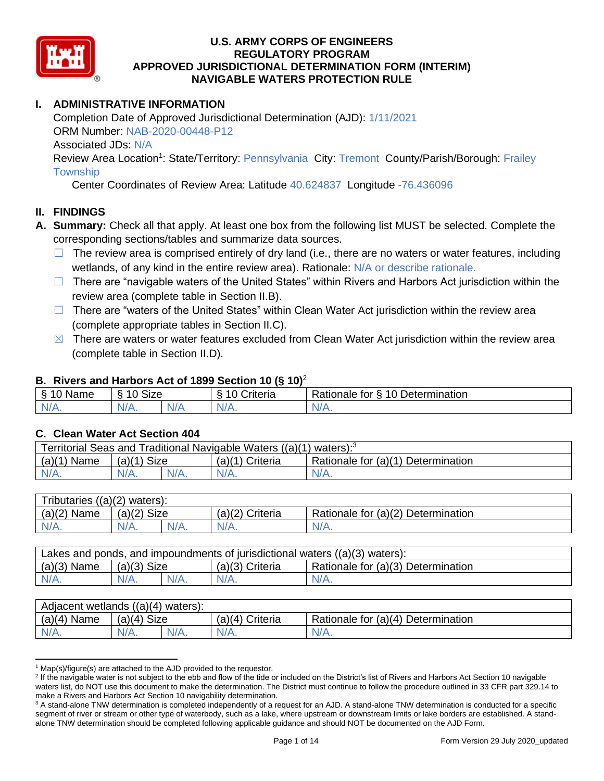

# **I. ADMINISTRATIVE INFORMATION**

Completion Date of Approved Jurisdictional Determination (AJD): 1/11/2021 ORM Number: NAB-2020-00448-P12 Associated JDs: N/A Review Area Location<sup>1</sup>: State/Territory: Pennsylvania City: Tremont County/Parish/Borough: Frailey

**Township** 

Center Coordinates of Review Area: Latitude 40.624837 Longitude -76.436096

## **II. FINDINGS**

- **A. Summary:** Check all that apply. At least one box from the following list MUST be selected. Complete the corresponding sections/tables and summarize data sources.
	- $\Box$  The review area is comprised entirely of dry land (i.e., there are no waters or water features, including wetlands, of any kind in the entire review area). Rationale: N/A or describe rationale.
	- □ There are "navigable waters of the United States" within Rivers and Harbors Act jurisdiction within the review area (complete table in Section II.B).
	- $\Box$  There are "waters of the United States" within Clean Water Act jurisdiction within the review area (complete appropriate tables in Section II.C).
	- $\boxtimes$  There are waters or water features excluded from Clean Water Act jurisdiction within the review area (complete table in Section II.D).

#### **B. Rivers and Harbors Act of 1899 Section 10 (§ 10)**<sup>2</sup>

| Name                          | $\sim$<br>$\sqrt{2}$<br>Size<br>∼ | - -<br>Criteria | 10<br>Determination<br>Rationale for<br>↷ |
|-------------------------------|-----------------------------------|-----------------|-------------------------------------------|
| $\sim$<br>$-1$ $\sqrt{1 + 1}$ | N/A.                              | $N/A$ .         | <b>MILLER</b>                             |

#### **C. Clean Water Act Section 404**

| Territorial Seas and Traditional Navigable Waters $((a)(1)$ waters): <sup>3</sup> |               |  |                   |                                    |  |
|-----------------------------------------------------------------------------------|---------------|--|-------------------|------------------------------------|--|
| $(a)(1)$ Name                                                                     | $(a)(1)$ Size |  | $(a)(1)$ Criteria | Rationale for (a)(1) Determination |  |
| $N/A$ .                                                                           | $N/A$ .       |  | $N/A$ .           | $N/A$ .                            |  |

| Tributaries $((a)(2)$ waters): |                |         |                 |                                    |  |
|--------------------------------|----------------|---------|-----------------|------------------------------------|--|
| $(a)(2)$ Name                  | Size<br>(a)(2) |         | (a)(2) Criteria | Rationale for (a)(2) Determination |  |
| $N/A$ .                        | $N/A$ .        | $N/A$ . | $N/A$ .         | N/A.                               |  |

| Lakes and ponds, and impoundments of jurisdictional waters $((a)(3)$ waters): |               |  |                   |                                    |  |
|-------------------------------------------------------------------------------|---------------|--|-------------------|------------------------------------|--|
| $(a)(3)$ Name                                                                 | $(a)(3)$ Size |  | $(a)(3)$ Criteria | Rationale for (a)(3) Determination |  |
| $N/A$ .                                                                       | $N/A$ .       |  | $N/A$ .           | $N/A$ .                            |  |

| Adjacent wetlands ((a)(4) waters): |                       |         |                 |                                    |  |
|------------------------------------|-----------------------|---------|-----------------|------------------------------------|--|
| $(a)(4)$ Name                      | <b>Size</b><br>(a)(4) |         | (a)(4) Criteria | Rationale for (a)(4) Determination |  |
| $N/A$ .                            | N/A.                  | $N/A$ . | $N/A$ .         | $N/A$ .                            |  |

 $1$  Map(s)/figure(s) are attached to the AJD provided to the requestor.

<sup>&</sup>lt;sup>2</sup> If the navigable water is not subject to the ebb and flow of the tide or included on the District's list of Rivers and Harbors Act Section 10 navigable waters list, do NOT use this document to make the determination. The District must continue to follow the procedure outlined in 33 CFR part 329.14 to make a Rivers and Harbors Act Section 10 navigability determination.

<sup>&</sup>lt;sup>3</sup> A stand-alone TNW determination is completed independently of a request for an AJD. A stand-alone TNW determination is conducted for a specific segment of river or stream or other type of waterbody, such as a lake, where upstream or downstream limits or lake borders are established. A standalone TNW determination should be completed following applicable guidance and should NOT be documented on the AJD Form.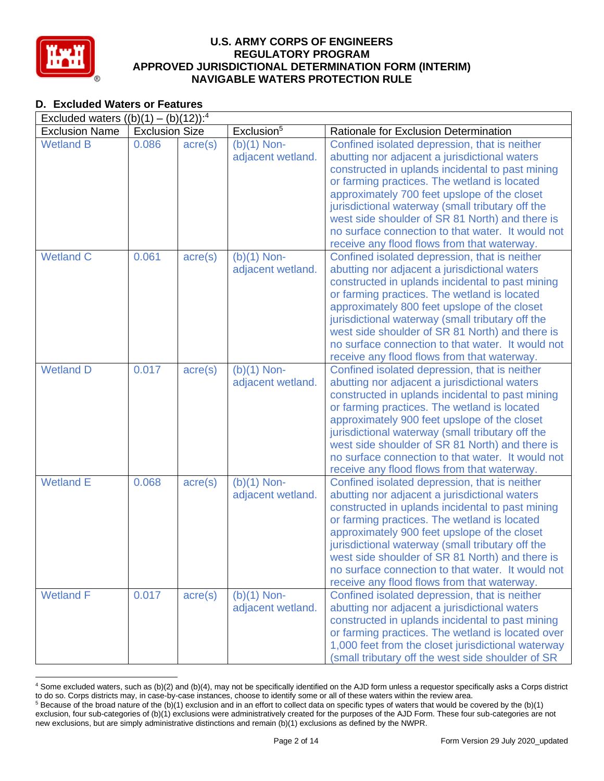

## **D. Excluded Waters or Features**

|                       | Excluded waters $((b)(1) - (b)(12))$ : <sup>4</sup> |                  |                                    |                                                                                                                                                                                                                                                                                                                                                                                                                                                               |  |  |  |  |
|-----------------------|-----------------------------------------------------|------------------|------------------------------------|---------------------------------------------------------------------------------------------------------------------------------------------------------------------------------------------------------------------------------------------------------------------------------------------------------------------------------------------------------------------------------------------------------------------------------------------------------------|--|--|--|--|
| <b>Exclusion Name</b> | <b>Exclusion Size</b>                               |                  | Exclusion <sup>5</sup>             | Rationale for Exclusion Determination                                                                                                                                                                                                                                                                                                                                                                                                                         |  |  |  |  |
| <b>Wetland B</b>      | 0.086                                               | $\text{acre}(s)$ | $(b)(1)$ Non-<br>adjacent wetland. | Confined isolated depression, that is neither<br>abutting nor adjacent a jurisdictional waters<br>constructed in uplands incidental to past mining<br>or farming practices. The wetland is located<br>approximately 700 feet upslope of the closet<br>jurisdictional waterway (small tributary off the<br>west side shoulder of SR 81 North) and there is<br>no surface connection to that water. It would not<br>receive any flood flows from that waterway. |  |  |  |  |
| <b>Wetland C</b>      | 0.061                                               | $\text{acre}(s)$ | $(b)(1)$ Non-<br>adjacent wetland. | Confined isolated depression, that is neither<br>abutting nor adjacent a jurisdictional waters<br>constructed in uplands incidental to past mining<br>or farming practices. The wetland is located<br>approximately 800 feet upslope of the closet<br>jurisdictional waterway (small tributary off the<br>west side shoulder of SR 81 North) and there is<br>no surface connection to that water. It would not<br>receive any flood flows from that waterway. |  |  |  |  |
| <b>Wetland D</b>      | 0.017                                               | $\text{acre}(s)$ | $(b)(1)$ Non-<br>adjacent wetland. | Confined isolated depression, that is neither<br>abutting nor adjacent a jurisdictional waters<br>constructed in uplands incidental to past mining<br>or farming practices. The wetland is located<br>approximately 900 feet upslope of the closet<br>jurisdictional waterway (small tributary off the<br>west side shoulder of SR 81 North) and there is<br>no surface connection to that water. It would not<br>receive any flood flows from that waterway. |  |  |  |  |
| <b>Wetland E</b>      | 0.068                                               | $\text{acre}(s)$ | $(b)(1)$ Non-<br>adjacent wetland. | Confined isolated depression, that is neither<br>abutting nor adjacent a jurisdictional waters<br>constructed in uplands incidental to past mining<br>or farming practices. The wetland is located<br>approximately 900 feet upslope of the closet<br>jurisdictional waterway (small tributary off the<br>west side shoulder of SR 81 North) and there is<br>no surface connection to that water. It would not<br>receive any flood flows from that waterway. |  |  |  |  |
| <b>Wetland F</b>      | 0.017                                               | $\text{acre}(s)$ | $(b)(1)$ Non-<br>adjacent wetland. | Confined isolated depression, that is neither<br>abutting nor adjacent a jurisdictional waters<br>constructed in uplands incidental to past mining<br>or farming practices. The wetland is located over<br>1,000 feet from the closet jurisdictional waterway<br>(small tributary off the west side shoulder of SR                                                                                                                                            |  |  |  |  |

<sup>4</sup> Some excluded waters, such as (b)(2) and (b)(4), may not be specifically identified on the AJD form unless a requestor specifically asks a Corps district to do so. Corps districts may, in case-by-case instances, choose to identify some or all of these waters within the review area.  $5$  Because of the broad nature of the (b)(1) exclusion and in an effort to collect data on specific types of waters that would be covered by the (b)(1)

exclusion, four sub-categories of (b)(1) exclusions were administratively created for the purposes of the AJD Form. These four sub-categories are not new exclusions, but are simply administrative distinctions and remain (b)(1) exclusions as defined by the NWPR.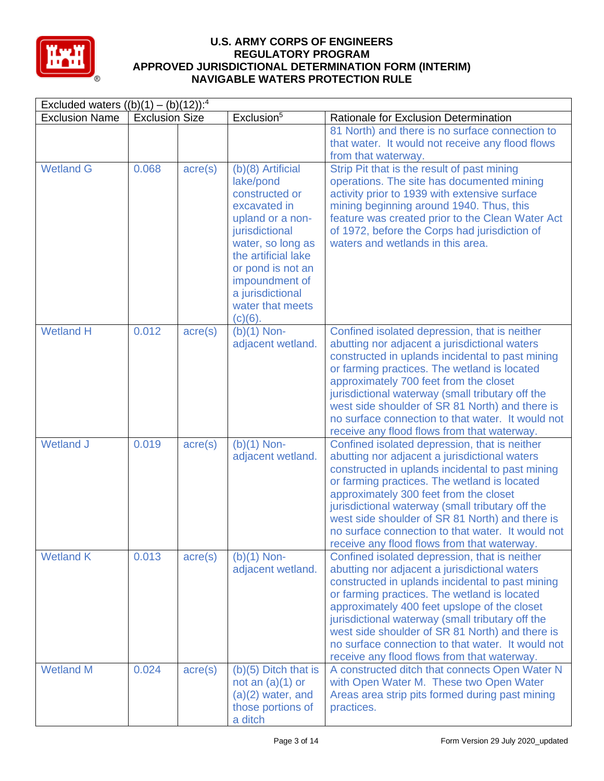

| Excluded waters $((b)(1) - (b)(12))$ : <sup>4</sup> |                       |                  |                                                                                                                                                                                                                                                 |                                                                                                                                                                                                                                                                                                                                                                                                                                                               |  |
|-----------------------------------------------------|-----------------------|------------------|-------------------------------------------------------------------------------------------------------------------------------------------------------------------------------------------------------------------------------------------------|---------------------------------------------------------------------------------------------------------------------------------------------------------------------------------------------------------------------------------------------------------------------------------------------------------------------------------------------------------------------------------------------------------------------------------------------------------------|--|
| <b>Exclusion Name</b>                               | <b>Exclusion Size</b> |                  | Exclusion <sup>5</sup>                                                                                                                                                                                                                          | Rationale for Exclusion Determination                                                                                                                                                                                                                                                                                                                                                                                                                         |  |
|                                                     |                       |                  |                                                                                                                                                                                                                                                 | 81 North) and there is no surface connection to<br>that water. It would not receive any flood flows<br>from that waterway.                                                                                                                                                                                                                                                                                                                                    |  |
| <b>Wetland G</b>                                    | 0.068                 | $\text{acre}(s)$ | (b)(8) Artificial<br>lake/pond<br>constructed or<br>excavated in<br>upland or a non-<br>jurisdictional<br>water, so long as<br>the artificial lake<br>or pond is not an<br>impoundment of<br>a jurisdictional<br>water that meets<br>$(c)(6)$ . | Strip Pit that is the result of past mining<br>operations. The site has documented mining<br>activity prior to 1939 with extensive surface<br>mining beginning around 1940. Thus, this<br>feature was created prior to the Clean Water Act<br>of 1972, before the Corps had jurisdiction of<br>waters and wetlands in this area.                                                                                                                              |  |
| <b>Wetland H</b>                                    | 0.012                 | $\text{acre}(s)$ | $(b)(1)$ Non-<br>adjacent wetland.                                                                                                                                                                                                              | Confined isolated depression, that is neither<br>abutting nor adjacent a jurisdictional waters<br>constructed in uplands incidental to past mining<br>or farming practices. The wetland is located<br>approximately 700 feet from the closet<br>jurisdictional waterway (small tributary off the<br>west side shoulder of SR 81 North) and there is<br>no surface connection to that water. It would not<br>receive any flood flows from that waterway.       |  |
| <b>Wetland J</b>                                    | 0.019                 | $\text{acre}(s)$ | $(b)(1)$ Non-<br>adjacent wetland.                                                                                                                                                                                                              | Confined isolated depression, that is neither<br>abutting nor adjacent a jurisdictional waters<br>constructed in uplands incidental to past mining<br>or farming practices. The wetland is located<br>approximately 300 feet from the closet<br>jurisdictional waterway (small tributary off the<br>west side shoulder of SR 81 North) and there is<br>no surface connection to that water. It would not<br>receive any flood flows from that waterway.       |  |
| <b>Wetland K</b>                                    | 0.013                 | $\text{acre}(s)$ | $(b)(1)$ Non-<br>adjacent wetland.                                                                                                                                                                                                              | Confined isolated depression, that is neither<br>abutting nor adjacent a jurisdictional waters<br>constructed in uplands incidental to past mining<br>or farming practices. The wetland is located<br>approximately 400 feet upslope of the closet<br>jurisdictional waterway (small tributary off the<br>west side shoulder of SR 81 North) and there is<br>no surface connection to that water. It would not<br>receive any flood flows from that waterway. |  |
| <b>Wetland M</b>                                    | 0.024                 | $\text{acre}(s)$ | $(b)(5)$ Ditch that is<br>not an $(a)(1)$ or<br>$(a)(2)$ water, and<br>those portions of<br>a ditch                                                                                                                                             | A constructed ditch that connects Open Water N<br>with Open Water M. These two Open Water<br>Areas area strip pits formed during past mining<br>practices.                                                                                                                                                                                                                                                                                                    |  |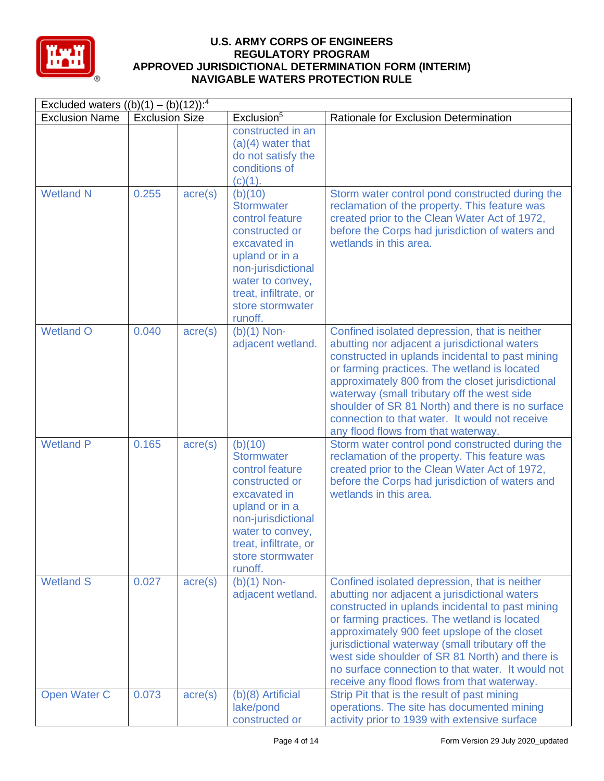

| Excluded waters $((b)(1) - (b)(12))$ : <sup>4</sup> |                       |                  |                                                                                                                                                                                                       |                                                                                                                                                                                                                                                                                                                                                                                                                                                               |  |  |
|-----------------------------------------------------|-----------------------|------------------|-------------------------------------------------------------------------------------------------------------------------------------------------------------------------------------------------------|---------------------------------------------------------------------------------------------------------------------------------------------------------------------------------------------------------------------------------------------------------------------------------------------------------------------------------------------------------------------------------------------------------------------------------------------------------------|--|--|
| <b>Exclusion Name</b>                               | <b>Exclusion Size</b> |                  | Exclusion <sup>5</sup>                                                                                                                                                                                | Rationale for Exclusion Determination                                                                                                                                                                                                                                                                                                                                                                                                                         |  |  |
|                                                     |                       |                  | constructed in an<br>$(a)(4)$ water that<br>do not satisfy the<br>conditions of<br>$(c)(1)$ .                                                                                                         |                                                                                                                                                                                                                                                                                                                                                                                                                                                               |  |  |
| <b>Wetland N</b>                                    | 0.255                 | $\text{acre}(s)$ | (b)(10)<br><b>Stormwater</b><br>control feature<br>constructed or<br>excavated in<br>upland or in a<br>non-jurisdictional<br>water to convey,<br>treat, infiltrate, or<br>store stormwater<br>runoff. | Storm water control pond constructed during the<br>reclamation of the property. This feature was<br>created prior to the Clean Water Act of 1972,<br>before the Corps had jurisdiction of waters and<br>wetlands in this area.                                                                                                                                                                                                                                |  |  |
| <b>Wetland O</b>                                    | 0.040                 | $\text{acre}(s)$ | $(b)(1)$ Non-<br>adjacent wetland.                                                                                                                                                                    | Confined isolated depression, that is neither<br>abutting nor adjacent a jurisdictional waters<br>constructed in uplands incidental to past mining<br>or farming practices. The wetland is located<br>approximately 800 from the closet jurisdictional<br>waterway (small tributary off the west side<br>shoulder of SR 81 North) and there is no surface<br>connection to that water. It would not receive<br>any flood flows from that waterway.            |  |  |
| <b>Wetland P</b>                                    | 0.165                 | $\text{acre}(s)$ | (b)(10)<br><b>Stormwater</b><br>control feature<br>constructed or<br>excavated in<br>upland or in a<br>non-jurisdictional<br>water to convey,<br>treat, infiltrate, or<br>store stormwater<br>runoff. | Storm water control pond constructed during the<br>reclamation of the property. This feature was<br>created prior to the Clean Water Act of 1972,<br>before the Corps had jurisdiction of waters and<br>wetlands in this area.                                                                                                                                                                                                                                |  |  |
| <b>Wetland S</b>                                    | 0.027                 | $\text{acre}(s)$ | $(b)(1)$ Non-<br>adjacent wetland.                                                                                                                                                                    | Confined isolated depression, that is neither<br>abutting nor adjacent a jurisdictional waters<br>constructed in uplands incidental to past mining<br>or farming practices. The wetland is located<br>approximately 900 feet upslope of the closet<br>jurisdictional waterway (small tributary off the<br>west side shoulder of SR 81 North) and there is<br>no surface connection to that water. It would not<br>receive any flood flows from that waterway. |  |  |
| Open Water C                                        | 0.073                 | $\text{acre}(s)$ | (b)(8) Artificial<br>lake/pond<br>constructed or                                                                                                                                                      | Strip Pit that is the result of past mining<br>operations. The site has documented mining<br>activity prior to 1939 with extensive surface                                                                                                                                                                                                                                                                                                                    |  |  |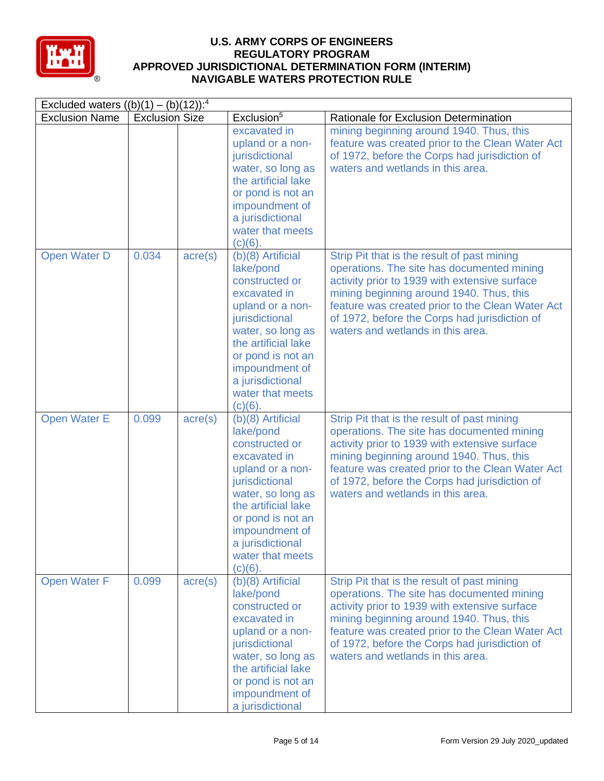

| Excluded waters $((b)(1) - (b)(12))$ : <sup>4</sup> |                       |                  |                                                                                                                                                                                                                                                 |                                                                                                                                                                                                                                                                                                                                  |  |
|-----------------------------------------------------|-----------------------|------------------|-------------------------------------------------------------------------------------------------------------------------------------------------------------------------------------------------------------------------------------------------|----------------------------------------------------------------------------------------------------------------------------------------------------------------------------------------------------------------------------------------------------------------------------------------------------------------------------------|--|
| <b>Exclusion Name</b>                               | <b>Exclusion Size</b> |                  | Exclusion <sup>5</sup>                                                                                                                                                                                                                          | Rationale for Exclusion Determination                                                                                                                                                                                                                                                                                            |  |
|                                                     |                       |                  | excavated in<br>upland or a non-<br>jurisdictional<br>water, so long as<br>the artificial lake<br>or pond is not an<br>impoundment of<br>a jurisdictional<br>water that meets<br>$(c)(6)$ .                                                     | mining beginning around 1940. Thus, this<br>feature was created prior to the Clean Water Act<br>of 1972, before the Corps had jurisdiction of<br>waters and wetlands in this area.                                                                                                                                               |  |
| Open Water D                                        | 0.034                 | $\text{acre}(s)$ | (b)(8) Artificial<br>lake/pond<br>constructed or<br>excavated in<br>upland or a non-<br>jurisdictional<br>water, so long as<br>the artificial lake<br>or pond is not an<br>impoundment of<br>a jurisdictional<br>water that meets<br>$(c)(6)$ . | Strip Pit that is the result of past mining<br>operations. The site has documented mining<br>activity prior to 1939 with extensive surface<br>mining beginning around 1940. Thus, this<br>feature was created prior to the Clean Water Act<br>of 1972, before the Corps had jurisdiction of<br>waters and wetlands in this area. |  |
| <b>Open Water E</b>                                 | 0.099                 | $\text{acre}(s)$ | (b)(8) Artificial<br>lake/pond<br>constructed or<br>excavated in<br>upland or a non-<br>jurisdictional<br>water, so long as<br>the artificial lake<br>or pond is not an<br>impoundment of<br>a jurisdictional<br>water that meets<br>$(c)(6)$ . | Strip Pit that is the result of past mining<br>operations. The site has documented mining<br>activity prior to 1939 with extensive surface<br>mining beginning around 1940. Thus, this<br>feature was created prior to the Clean Water Act<br>of 1972, before the Corps had jurisdiction of<br>waters and wetlands in this area. |  |
| <b>Open Water F</b>                                 | 0.099                 | $\text{acre}(s)$ | $(b)(8)$ Artificial<br>lake/pond<br>constructed or<br>excavated in<br>upland or a non-<br>jurisdictional<br>water, so long as<br>the artificial lake<br>or pond is not an<br>impoundment of<br>a jurisdictional                                 | Strip Pit that is the result of past mining<br>operations. The site has documented mining<br>activity prior to 1939 with extensive surface<br>mining beginning around 1940. Thus, this<br>feature was created prior to the Clean Water Act<br>of 1972, before the Corps had jurisdiction of<br>waters and wetlands in this area. |  |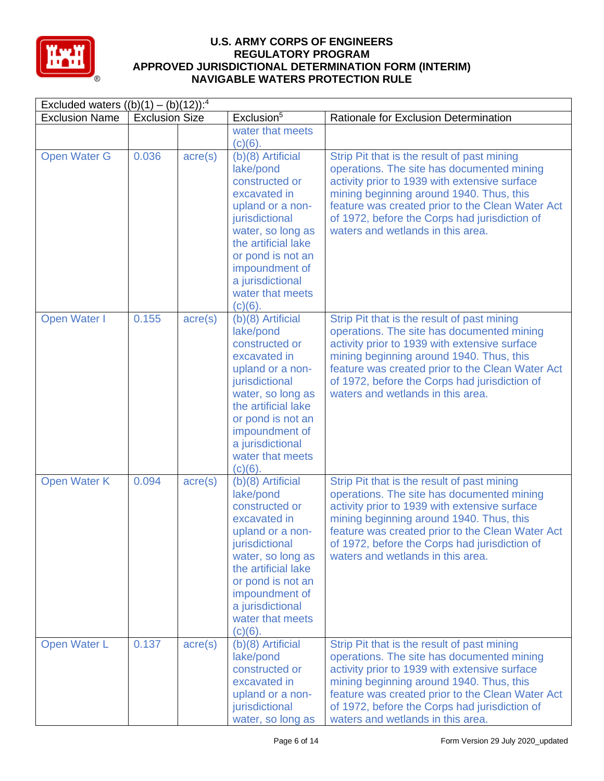

| Excluded waters $((b)(1) - (b)(12))$ : <sup>4</sup> |                       |                  |                                                                                                                                                                                                                                                 |                                                                                                                                                                                                                                                                                                                                  |  |
|-----------------------------------------------------|-----------------------|------------------|-------------------------------------------------------------------------------------------------------------------------------------------------------------------------------------------------------------------------------------------------|----------------------------------------------------------------------------------------------------------------------------------------------------------------------------------------------------------------------------------------------------------------------------------------------------------------------------------|--|
| <b>Exclusion Name</b>                               | <b>Exclusion Size</b> |                  | Exclusion <sup>5</sup>                                                                                                                                                                                                                          | Rationale for Exclusion Determination                                                                                                                                                                                                                                                                                            |  |
|                                                     |                       |                  | water that meets<br>$(c)(6)$ .                                                                                                                                                                                                                  |                                                                                                                                                                                                                                                                                                                                  |  |
| <b>Open Water G</b>                                 | 0.036                 | $\text{acre}(s)$ | (b)(8) Artificial<br>lake/pond<br>constructed or<br>excavated in<br>upland or a non-<br>jurisdictional<br>water, so long as<br>the artificial lake<br>or pond is not an<br>impoundment of<br>a jurisdictional<br>water that meets<br>$(c)(6)$ . | Strip Pit that is the result of past mining<br>operations. The site has documented mining<br>activity prior to 1939 with extensive surface<br>mining beginning around 1940. Thus, this<br>feature was created prior to the Clean Water Act<br>of 1972, before the Corps had jurisdiction of<br>waters and wetlands in this area. |  |
| Open Water I                                        | 0.155                 | $\text{acre}(s)$ | (b)(8) Artificial<br>lake/pond<br>constructed or<br>excavated in<br>upland or a non-<br>jurisdictional<br>water, so long as<br>the artificial lake<br>or pond is not an<br>impoundment of<br>a jurisdictional<br>water that meets<br>$(c)(6)$ . | Strip Pit that is the result of past mining<br>operations. The site has documented mining<br>activity prior to 1939 with extensive surface<br>mining beginning around 1940. Thus, this<br>feature was created prior to the Clean Water Act<br>of 1972, before the Corps had jurisdiction of<br>waters and wetlands in this area. |  |
| <b>Open Water K</b>                                 | 0.094                 | $\text{acre}(s)$ | (b)(8) Artificial<br>lake/pond<br>constructed or<br>excavated in<br>upland or a non-<br>jurisdictional<br>water, so long as<br>the artificial lake<br>or pond is not an<br>impoundment of<br>a jurisdictional<br>water that meets<br>$(c)(6)$ . | Strip Pit that is the result of past mining<br>operations. The site has documented mining<br>activity prior to 1939 with extensive surface<br>mining beginning around 1940. Thus, this<br>feature was created prior to the Clean Water Act<br>of 1972, before the Corps had jurisdiction of<br>waters and wetlands in this area. |  |
| Open Water L                                        | 0.137                 | $\text{acre}(s)$ | $(b)(8)$ Artificial<br>lake/pond<br>constructed or<br>excavated in<br>upland or a non-<br>jurisdictional<br>water, so long as                                                                                                                   | Strip Pit that is the result of past mining<br>operations. The site has documented mining<br>activity prior to 1939 with extensive surface<br>mining beginning around 1940. Thus, this<br>feature was created prior to the Clean Water Act<br>of 1972, before the Corps had jurisdiction of<br>waters and wetlands in this area. |  |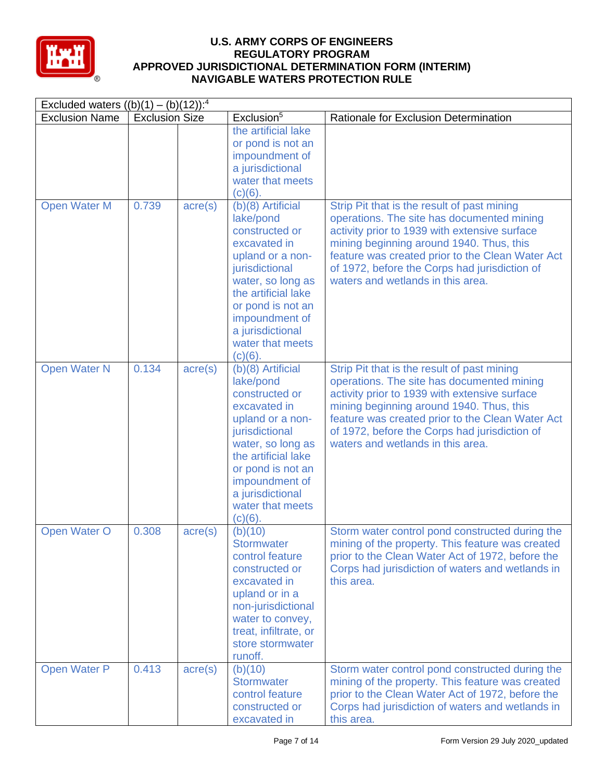

| Excluded waters $((b)(1) - (b)(12))$ : <sup>4</sup> |                       |                  |                                                                                                                                                                                                                                                 |                                                                                                                                                                                                                                                                                                                                  |  |
|-----------------------------------------------------|-----------------------|------------------|-------------------------------------------------------------------------------------------------------------------------------------------------------------------------------------------------------------------------------------------------|----------------------------------------------------------------------------------------------------------------------------------------------------------------------------------------------------------------------------------------------------------------------------------------------------------------------------------|--|
| <b>Exclusion Name</b>                               | <b>Exclusion Size</b> |                  | Exclusion <sup>5</sup>                                                                                                                                                                                                                          | Rationale for Exclusion Determination                                                                                                                                                                                                                                                                                            |  |
|                                                     |                       |                  | the artificial lake<br>or pond is not an<br>impoundment of<br>a jurisdictional<br>water that meets<br>$(c)(6)$ .                                                                                                                                |                                                                                                                                                                                                                                                                                                                                  |  |
| <b>Open Water M</b>                                 | 0.739                 | $\text{acre}(s)$ | (b)(8) Artificial<br>lake/pond<br>constructed or<br>excavated in<br>upland or a non-<br>jurisdictional<br>water, so long as<br>the artificial lake<br>or pond is not an<br>impoundment of<br>a jurisdictional<br>water that meets<br>$(c)(6)$ . | Strip Pit that is the result of past mining<br>operations. The site has documented mining<br>activity prior to 1939 with extensive surface<br>mining beginning around 1940. Thus, this<br>feature was created prior to the Clean Water Act<br>of 1972, before the Corps had jurisdiction of<br>waters and wetlands in this area. |  |
| <b>Open Water N</b>                                 | 0.134                 | $\text{acre}(s)$ | (b)(8) Artificial<br>lake/pond<br>constructed or<br>excavated in<br>upland or a non-<br>jurisdictional<br>water, so long as<br>the artificial lake<br>or pond is not an<br>impoundment of<br>a jurisdictional<br>water that meets<br>$(c)(6)$ . | Strip Pit that is the result of past mining<br>operations. The site has documented mining<br>activity prior to 1939 with extensive surface<br>mining beginning around 1940. Thus, this<br>feature was created prior to the Clean Water Act<br>of 1972, before the Corps had jurisdiction of<br>waters and wetlands in this area. |  |
| Open Water O                                        | 0.308                 | $\text{acre}(s)$ | (b)(10)<br><b>Stormwater</b><br>control feature<br>constructed or<br>excavated in<br>upland or in a<br>non-jurisdictional<br>water to convey,<br>treat, infiltrate, or<br>store stormwater<br>runoff.                                           | Storm water control pond constructed during the<br>mining of the property. This feature was created<br>prior to the Clean Water Act of 1972, before the<br>Corps had jurisdiction of waters and wetlands in<br>this area.                                                                                                        |  |
| Open Water P                                        | 0.413                 | $\text{acre}(s)$ | (b)(10)<br><b>Stormwater</b><br>control feature<br>constructed or<br>excavated in                                                                                                                                                               | Storm water control pond constructed during the<br>mining of the property. This feature was created<br>prior to the Clean Water Act of 1972, before the<br>Corps had jurisdiction of waters and wetlands in<br>this area.                                                                                                        |  |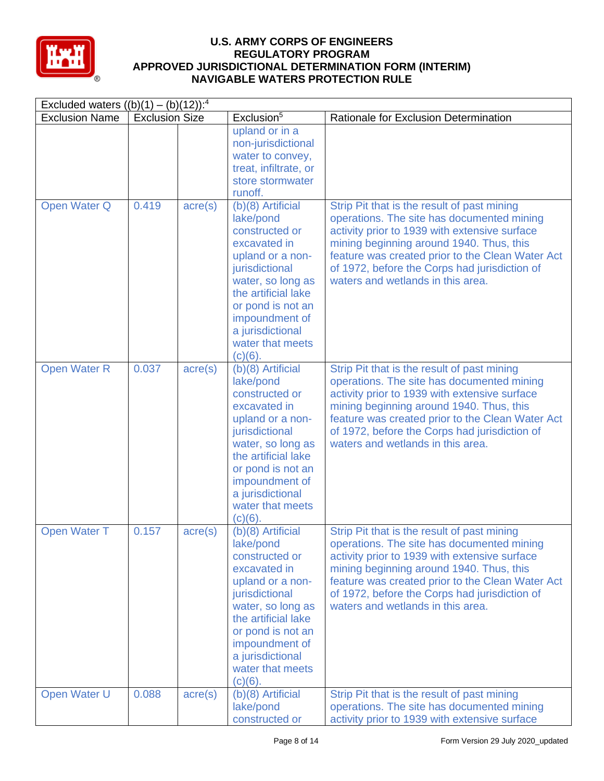

| Excluded waters $((b)(1) - (b)(12))$ : <sup>4</sup> |                       |                  |                                                                                                                                                                                                                                                 |                                                                                                                                                                                                                                                                                                                                  |  |
|-----------------------------------------------------|-----------------------|------------------|-------------------------------------------------------------------------------------------------------------------------------------------------------------------------------------------------------------------------------------------------|----------------------------------------------------------------------------------------------------------------------------------------------------------------------------------------------------------------------------------------------------------------------------------------------------------------------------------|--|
| <b>Exclusion Name</b>                               | <b>Exclusion Size</b> |                  | Exclusion <sup>5</sup>                                                                                                                                                                                                                          | Rationale for Exclusion Determination                                                                                                                                                                                                                                                                                            |  |
|                                                     |                       |                  | upland or in a<br>non-jurisdictional<br>water to convey,<br>treat, infiltrate, or<br>store stormwater<br>runoff.                                                                                                                                |                                                                                                                                                                                                                                                                                                                                  |  |
| Open Water Q                                        | 0.419                 | $\text{acre}(s)$ | (b)(8) Artificial<br>lake/pond<br>constructed or<br>excavated in<br>upland or a non-<br>jurisdictional<br>water, so long as<br>the artificial lake<br>or pond is not an<br>impoundment of<br>a jurisdictional<br>water that meets<br>$(c)(6)$ . | Strip Pit that is the result of past mining<br>operations. The site has documented mining<br>activity prior to 1939 with extensive surface<br>mining beginning around 1940. Thus, this<br>feature was created prior to the Clean Water Act<br>of 1972, before the Corps had jurisdiction of<br>waters and wetlands in this area. |  |
| <b>Open Water R</b>                                 | 0.037                 | $\text{acre}(s)$ | (b)(8) Artificial<br>lake/pond<br>constructed or<br>excavated in<br>upland or a non-<br>jurisdictional<br>water, so long as<br>the artificial lake<br>or pond is not an<br>impoundment of<br>a jurisdictional<br>water that meets<br>$(c)(6)$ . | Strip Pit that is the result of past mining<br>operations. The site has documented mining<br>activity prior to 1939 with extensive surface<br>mining beginning around 1940. Thus, this<br>feature was created prior to the Clean Water Act<br>of 1972, before the Corps had jurisdiction of<br>waters and wetlands in this area. |  |
| Open Water T                                        | 0.157                 | $\text{acre}(s)$ | (b)(8) Artificial<br>lake/pond<br>constructed or<br>excavated in<br>upland or a non-<br>jurisdictional<br>water, so long as<br>the artificial lake<br>or pond is not an<br>impoundment of<br>a jurisdictional<br>water that meets<br>$(c)(6)$ . | Strip Pit that is the result of past mining<br>operations. The site has documented mining<br>activity prior to 1939 with extensive surface<br>mining beginning around 1940. Thus, this<br>feature was created prior to the Clean Water Act<br>of 1972, before the Corps had jurisdiction of<br>waters and wetlands in this area. |  |
| Open Water U                                        | 0.088                 | $\text{acre}(s)$ | (b)(8) Artificial<br>lake/pond<br>constructed or                                                                                                                                                                                                | Strip Pit that is the result of past mining<br>operations. The site has documented mining<br>activity prior to 1939 with extensive surface                                                                                                                                                                                       |  |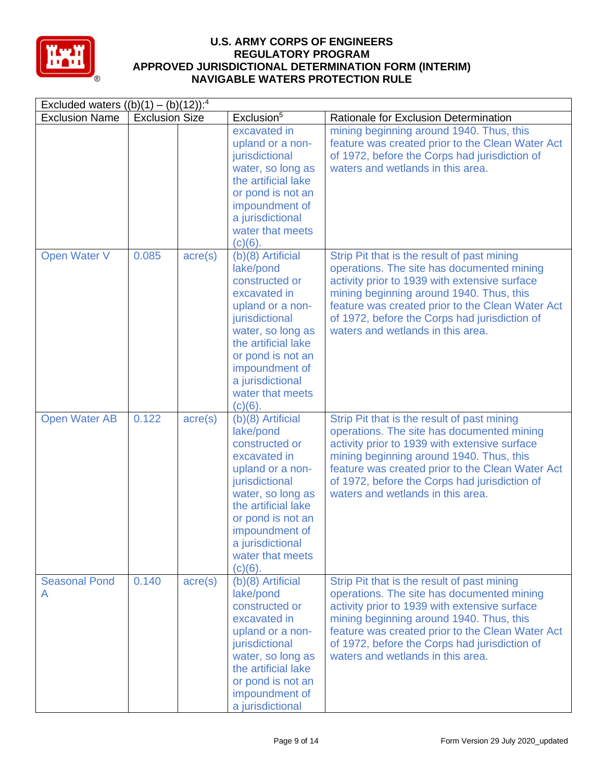

| Excluded waters $((b)(1) - (b)(12))$ : <sup>4</sup> |                       |                  |                                                                                                                                                                                                                                                 |                                                                                                                                                                                                                                                                                                                                  |
|-----------------------------------------------------|-----------------------|------------------|-------------------------------------------------------------------------------------------------------------------------------------------------------------------------------------------------------------------------------------------------|----------------------------------------------------------------------------------------------------------------------------------------------------------------------------------------------------------------------------------------------------------------------------------------------------------------------------------|
| <b>Exclusion Name</b>                               | <b>Exclusion Size</b> |                  | Exclusion <sup>5</sup>                                                                                                                                                                                                                          | Rationale for Exclusion Determination                                                                                                                                                                                                                                                                                            |
|                                                     |                       |                  | excavated in<br>upland or a non-<br>jurisdictional<br>water, so long as<br>the artificial lake<br>or pond is not an<br>impoundment of<br>a jurisdictional<br>water that meets<br>$(c)(6)$ .                                                     | mining beginning around 1940. Thus, this<br>feature was created prior to the Clean Water Act<br>of 1972, before the Corps had jurisdiction of<br>waters and wetlands in this area.                                                                                                                                               |
| Open Water V                                        | 0.085                 | $\text{acre}(s)$ | (b)(8) Artificial<br>lake/pond<br>constructed or<br>excavated in<br>upland or a non-<br>jurisdictional<br>water, so long as<br>the artificial lake<br>or pond is not an<br>impoundment of<br>a jurisdictional<br>water that meets<br>$(c)(6)$ . | Strip Pit that is the result of past mining<br>operations. The site has documented mining<br>activity prior to 1939 with extensive surface<br>mining beginning around 1940. Thus, this<br>feature was created prior to the Clean Water Act<br>of 1972, before the Corps had jurisdiction of<br>waters and wetlands in this area. |
| <b>Open Water AB</b>                                | 0.122                 | $\text{acre}(s)$ | (b)(8) Artificial<br>lake/pond<br>constructed or<br>excavated in<br>upland or a non-<br>jurisdictional<br>water, so long as<br>the artificial lake<br>or pond is not an<br>impoundment of<br>a jurisdictional<br>water that meets<br>$(c)(6)$ . | Strip Pit that is the result of past mining<br>operations. The site has documented mining<br>activity prior to 1939 with extensive surface<br>mining beginning around 1940. Thus, this<br>feature was created prior to the Clean Water Act<br>of 1972, before the Corps had jurisdiction of<br>waters and wetlands in this area. |
| <b>Seasonal Pond</b><br>A                           | 0.140                 | $\text{acre}(s)$ | $(b)(8)$ Artificial<br>lake/pond<br>constructed or<br>excavated in<br>upland or a non-<br>jurisdictional<br>water, so long as<br>the artificial lake<br>or pond is not an<br>impoundment of<br>a jurisdictional                                 | Strip Pit that is the result of past mining<br>operations. The site has documented mining<br>activity prior to 1939 with extensive surface<br>mining beginning around 1940. Thus, this<br>feature was created prior to the Clean Water Act<br>of 1972, before the Corps had jurisdiction of<br>waters and wetlands in this area. |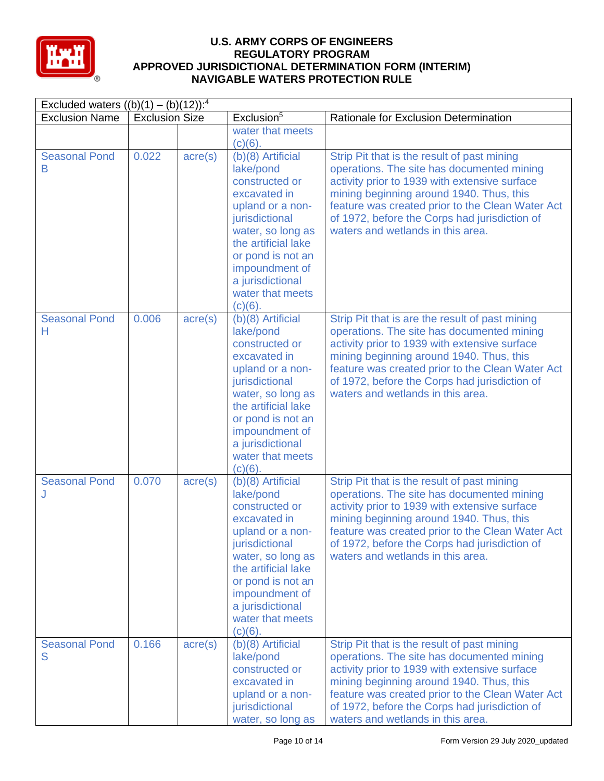

| Excluded waters $((b)(1) - (b)(12))$ : <sup>4</sup> |                       |                  |                                                                                                                                                                                                                                                   |                                                                                                                                                                                                                                                                                                                                      |  |
|-----------------------------------------------------|-----------------------|------------------|---------------------------------------------------------------------------------------------------------------------------------------------------------------------------------------------------------------------------------------------------|--------------------------------------------------------------------------------------------------------------------------------------------------------------------------------------------------------------------------------------------------------------------------------------------------------------------------------------|--|
| <b>Exclusion Name</b>                               | <b>Exclusion Size</b> |                  | Exclusion <sup>5</sup>                                                                                                                                                                                                                            | Rationale for Exclusion Determination                                                                                                                                                                                                                                                                                                |  |
|                                                     |                       |                  | water that meets<br>$(c)(6)$ .                                                                                                                                                                                                                    |                                                                                                                                                                                                                                                                                                                                      |  |
| <b>Seasonal Pond</b><br>B                           | 0.022                 | $\text{acre}(s)$ | $(b)(8)$ Artificial<br>lake/pond<br>constructed or<br>excavated in<br>upland or a non-<br>jurisdictional<br>water, so long as<br>the artificial lake<br>or pond is not an<br>impoundment of<br>a jurisdictional<br>water that meets<br>$(c)(6)$ . | Strip Pit that is the result of past mining<br>operations. The site has documented mining<br>activity prior to 1939 with extensive surface<br>mining beginning around 1940. Thus, this<br>feature was created prior to the Clean Water Act<br>of 1972, before the Corps had jurisdiction of<br>waters and wetlands in this area.     |  |
| <b>Seasonal Pond</b><br>Н                           | 0.006                 | $\text{acre}(s)$ | (b)(8) Artificial<br>lake/pond<br>constructed or<br>excavated in<br>upland or a non-<br>jurisdictional<br>water, so long as<br>the artificial lake<br>or pond is not an<br>impoundment of<br>a jurisdictional<br>water that meets<br>$(c)(6)$ .   | Strip Pit that is are the result of past mining<br>operations. The site has documented mining<br>activity prior to 1939 with extensive surface<br>mining beginning around 1940. Thus, this<br>feature was created prior to the Clean Water Act<br>of 1972, before the Corps had jurisdiction of<br>waters and wetlands in this area. |  |
| <b>Seasonal Pond</b>                                | 0.070                 | $\text{acre}(s)$ | $(b)(8)$ Artificial<br>lake/pond<br>constructed or<br>excavated in<br>upland or a non-<br>jurisdictional<br>water, so long as<br>the artificial lake<br>or pond is not an<br>impoundment of<br>a jurisdictional<br>water that meets<br>$(c)(6)$ . | Strip Pit that is the result of past mining<br>operations. The site has documented mining<br>activity prior to 1939 with extensive surface<br>mining beginning around 1940. Thus, this<br>feature was created prior to the Clean Water Act<br>of 1972, before the Corps had jurisdiction of<br>waters and wetlands in this area.     |  |
| <b>Seasonal Pond</b><br>S                           | 0.166                 | $\text{acre}(s)$ | $(b)(8)$ Artificial<br>lake/pond<br>constructed or<br>excavated in<br>upland or a non-<br>jurisdictional<br>water, so long as                                                                                                                     | Strip Pit that is the result of past mining<br>operations. The site has documented mining<br>activity prior to 1939 with extensive surface<br>mining beginning around 1940. Thus, this<br>feature was created prior to the Clean Water Act<br>of 1972, before the Corps had jurisdiction of<br>waters and wetlands in this area.     |  |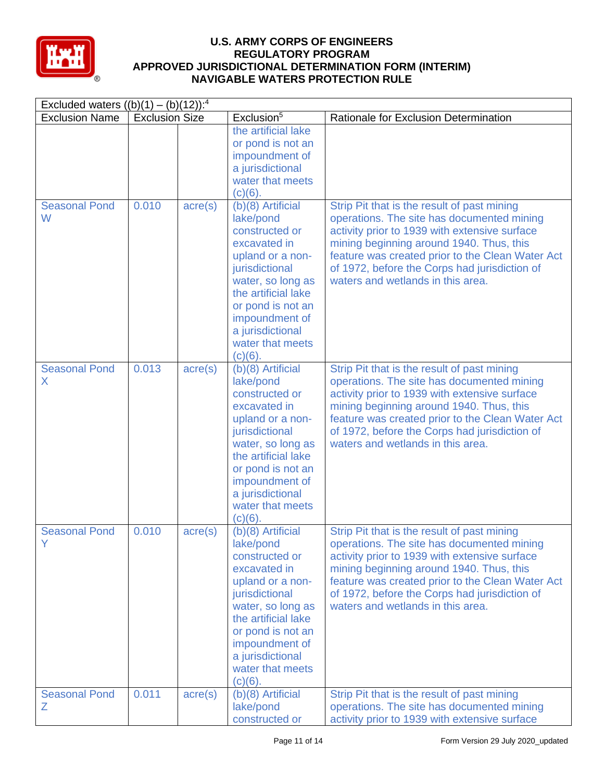

| Excluded waters $((b)(1) - (b)(12))$ : <sup>4</sup> |                       |                  |                                                                                                                                                                                                                                                 |                                                                                                                                                                                                                                                                                                                                  |  |
|-----------------------------------------------------|-----------------------|------------------|-------------------------------------------------------------------------------------------------------------------------------------------------------------------------------------------------------------------------------------------------|----------------------------------------------------------------------------------------------------------------------------------------------------------------------------------------------------------------------------------------------------------------------------------------------------------------------------------|--|
| <b>Exclusion Name</b>                               | <b>Exclusion Size</b> |                  | Exclusion <sup>5</sup>                                                                                                                                                                                                                          | Rationale for Exclusion Determination                                                                                                                                                                                                                                                                                            |  |
|                                                     |                       |                  | the artificial lake<br>or pond is not an<br>impoundment of<br>a jurisdictional<br>water that meets<br>$(c)(6)$ .                                                                                                                                |                                                                                                                                                                                                                                                                                                                                  |  |
| <b>Seasonal Pond</b><br>W                           | 0.010                 | $\text{acre}(s)$ | (b)(8) Artificial<br>lake/pond<br>constructed or<br>excavated in<br>upland or a non-<br>jurisdictional<br>water, so long as<br>the artificial lake<br>or pond is not an<br>impoundment of<br>a jurisdictional<br>water that meets<br>$(c)(6)$ . | Strip Pit that is the result of past mining<br>operations. The site has documented mining<br>activity prior to 1939 with extensive surface<br>mining beginning around 1940. Thus, this<br>feature was created prior to the Clean Water Act<br>of 1972, before the Corps had jurisdiction of<br>waters and wetlands in this area. |  |
| <b>Seasonal Pond</b><br>X                           | 0.013                 | $\text{acre}(s)$ | (b)(8) Artificial<br>lake/pond<br>constructed or<br>excavated in<br>upland or a non-<br>jurisdictional<br>water, so long as<br>the artificial lake<br>or pond is not an<br>impoundment of<br>a jurisdictional<br>water that meets<br>$(c)(6)$ . | Strip Pit that is the result of past mining<br>operations. The site has documented mining<br>activity prior to 1939 with extensive surface<br>mining beginning around 1940. Thus, this<br>feature was created prior to the Clean Water Act<br>of 1972, before the Corps had jurisdiction of<br>waters and wetlands in this area. |  |
| <b>Seasonal Pond</b>                                | 0.010                 | $\text{acre}(s)$ | (b)(8) Artificial<br>lake/pond<br>constructed or<br>excavated in<br>upland or a non-<br>jurisdictional<br>water, so long as<br>the artificial lake<br>or pond is not an<br>impoundment of<br>a jurisdictional<br>water that meets<br>$(c)(6)$ . | Strip Pit that is the result of past mining<br>operations. The site has documented mining<br>activity prior to 1939 with extensive surface<br>mining beginning around 1940. Thus, this<br>feature was created prior to the Clean Water Act<br>of 1972, before the Corps had jurisdiction of<br>waters and wetlands in this area. |  |
| <b>Seasonal Pond</b><br>Ζ                           | 0.011                 | $\text{acre}(s)$ | (b)(8) Artificial<br>lake/pond<br>constructed or                                                                                                                                                                                                | Strip Pit that is the result of past mining<br>operations. The site has documented mining<br>activity prior to 1939 with extensive surface                                                                                                                                                                                       |  |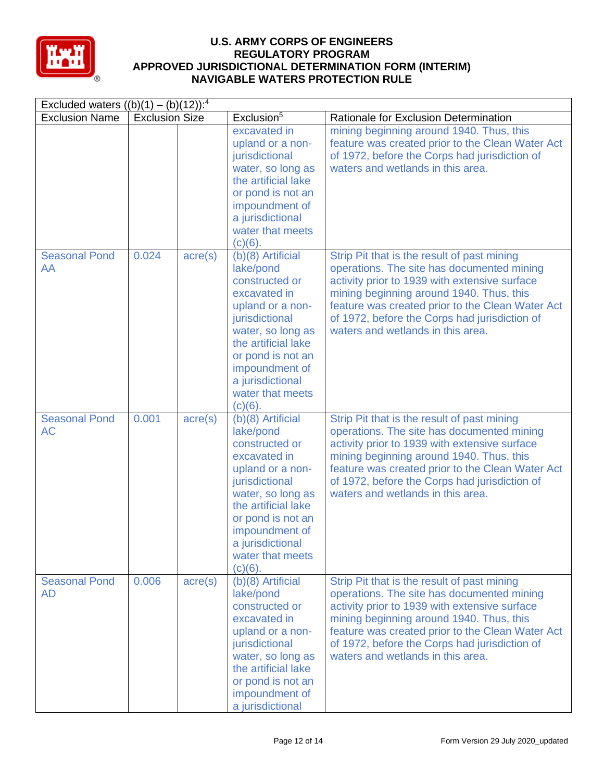

| Excluded waters $((b)(1) - (b)(12))$ : <sup>4</sup> |                       |                  |                                                                                                                                                                                                                                                 |                                                                                                                                                                                                                                                                                                                                  |
|-----------------------------------------------------|-----------------------|------------------|-------------------------------------------------------------------------------------------------------------------------------------------------------------------------------------------------------------------------------------------------|----------------------------------------------------------------------------------------------------------------------------------------------------------------------------------------------------------------------------------------------------------------------------------------------------------------------------------|
| <b>Exclusion Name</b>                               | <b>Exclusion Size</b> |                  | Exclusion <sup>5</sup>                                                                                                                                                                                                                          | Rationale for Exclusion Determination                                                                                                                                                                                                                                                                                            |
|                                                     |                       |                  | excavated in<br>upland or a non-<br>jurisdictional<br>water, so long as<br>the artificial lake<br>or pond is not an<br>impoundment of<br>a jurisdictional<br>water that meets<br>$(c)(6)$ .                                                     | mining beginning around 1940. Thus, this<br>feature was created prior to the Clean Water Act<br>of 1972, before the Corps had jurisdiction of<br>waters and wetlands in this area.                                                                                                                                               |
| <b>Seasonal Pond</b><br>AA                          | 0.024                 | $\text{acre}(s)$ | (b)(8) Artificial<br>lake/pond<br>constructed or<br>excavated in<br>upland or a non-<br>jurisdictional<br>water, so long as<br>the artificial lake<br>or pond is not an<br>impoundment of<br>a jurisdictional<br>water that meets<br>$(c)(6)$ . | Strip Pit that is the result of past mining<br>operations. The site has documented mining<br>activity prior to 1939 with extensive surface<br>mining beginning around 1940. Thus, this<br>feature was created prior to the Clean Water Act<br>of 1972, before the Corps had jurisdiction of<br>waters and wetlands in this area. |
| <b>Seasonal Pond</b><br><b>AC</b>                   | 0.001                 | $\text{acre}(s)$ | (b)(8) Artificial<br>lake/pond<br>constructed or<br>excavated in<br>upland or a non-<br>jurisdictional<br>water, so long as<br>the artificial lake<br>or pond is not an<br>impoundment of<br>a jurisdictional<br>water that meets<br>$(c)(6)$ . | Strip Pit that is the result of past mining<br>operations. The site has documented mining<br>activity prior to 1939 with extensive surface<br>mining beginning around 1940. Thus, this<br>feature was created prior to the Clean Water Act<br>of 1972, before the Corps had jurisdiction of<br>waters and wetlands in this area. |
| <b>Seasonal Pond</b><br><b>AD</b>                   | 0.006                 | $\text{acre}(s)$ | $(b)(8)$ Artificial<br>lake/pond<br>constructed or<br>excavated in<br>upland or a non-<br>jurisdictional<br>water, so long as<br>the artificial lake<br>or pond is not an<br>impoundment of<br>a jurisdictional                                 | Strip Pit that is the result of past mining<br>operations. The site has documented mining<br>activity prior to 1939 with extensive surface<br>mining beginning around 1940. Thus, this<br>feature was created prior to the Clean Water Act<br>of 1972, before the Corps had jurisdiction of<br>waters and wetlands in this area. |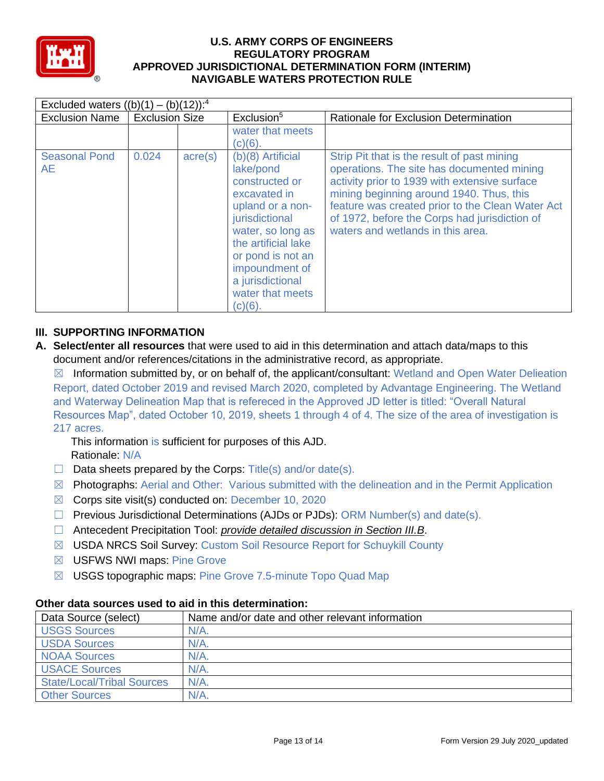

| Excluded waters $((b)(1) - (b)(12))$ : <sup>4</sup> |                       |                  |                                                                                                                                                                                                                                                 |                                                                                                                                                                                                                                                                                                                                  |
|-----------------------------------------------------|-----------------------|------------------|-------------------------------------------------------------------------------------------------------------------------------------------------------------------------------------------------------------------------------------------------|----------------------------------------------------------------------------------------------------------------------------------------------------------------------------------------------------------------------------------------------------------------------------------------------------------------------------------|
| <b>Exclusion Name</b>                               | <b>Exclusion Size</b> |                  | Exclusion <sup>5</sup>                                                                                                                                                                                                                          | Rationale for Exclusion Determination                                                                                                                                                                                                                                                                                            |
|                                                     |                       |                  | water that meets<br>$(c)(6)$ .                                                                                                                                                                                                                  |                                                                                                                                                                                                                                                                                                                                  |
| <b>Seasonal Pond</b><br>AE                          | 0.024                 | $\text{acre}(s)$ | (b)(8) Artificial<br>lake/pond<br>constructed or<br>excavated in<br>upland or a non-<br>jurisdictional<br>water, so long as<br>the artificial lake<br>or pond is not an<br>impoundment of<br>a jurisdictional<br>water that meets<br>$(c)(6)$ . | Strip Pit that is the result of past mining<br>operations. The site has documented mining<br>activity prior to 1939 with extensive surface<br>mining beginning around 1940. Thus, this<br>feature was created prior to the Clean Water Act<br>of 1972, before the Corps had jurisdiction of<br>waters and wetlands in this area. |

## **III. SUPPORTING INFORMATION**

**A. Select/enter all resources** that were used to aid in this determination and attach data/maps to this document and/or references/citations in the administrative record, as appropriate.

 $\boxtimes$  Information submitted by, or on behalf of, the applicant/consultant: Wetland and Open Water Delieation Report, dated October 2019 and revised March 2020, completed by Advantage Engineering. The Wetland and Waterway Delineation Map that is refereced in the Approved JD letter is titled: "Overall Natural Resources Map", dated October 10, 2019, sheets 1 through 4 of 4. The size of the area of investigation is 217 acres.

This information is sufficient for purposes of this AJD. Rationale: N/A

- $\Box$  Data sheets prepared by the Corps: Title(s) and/or date(s).
- $\boxtimes$  Photographs: Aerial and Other: Various submitted with the delineation and in the Permit Application
- $\boxtimes$  Corps site visit(s) conducted on: December 10, 2020
- ☐ Previous Jurisdictional Determinations (AJDs or PJDs): ORM Number(s) and date(s).
- ☐ Antecedent Precipitation Tool: *provide detailed discussion in Section III.B*.
- ☒ USDA NRCS Soil Survey: Custom Soil Resource Report for Schuykill County
- ☒ USFWS NWI maps: Pine Grove
- ⊠ USGS topographic maps: Pine Grove 7.5-minute Topo Quad Map

## **Other data sources used to aid in this determination:**

| Data Source (select)              | Name and/or date and other relevant information |
|-----------------------------------|-------------------------------------------------|
| <b>USGS Sources</b>               | N/A                                             |
| <b>USDA Sources</b>               | $N/A$ .                                         |
| <b>NOAA Sources</b>               | $N/A$ .                                         |
| <b>USACE Sources</b>              | $N/A$ .                                         |
| <b>State/Local/Tribal Sources</b> | N/A                                             |
| <b>Other Sources</b>              | N/A                                             |